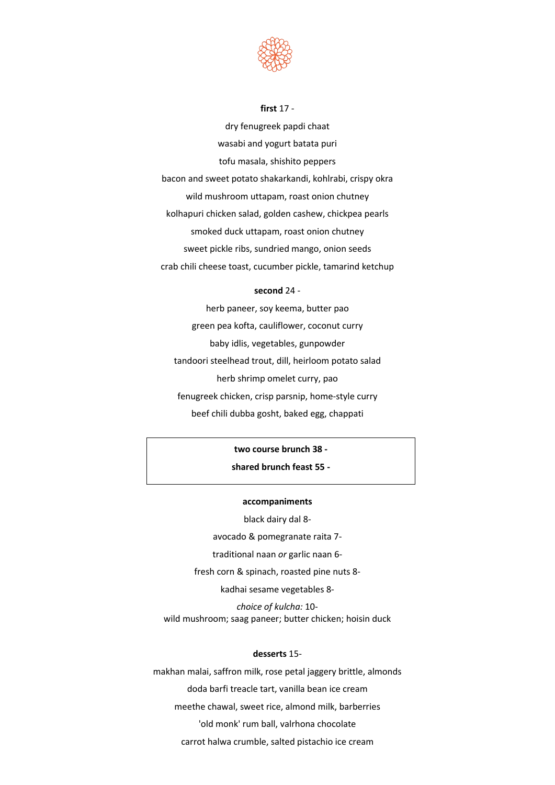

**first** 17 -

dry fenugreek papdi chaat wasabi and yogurt batata puri tofu masala, shishito peppers bacon and sweet potato shakarkandi, kohlrabi, crispy okra wild mushroom uttapam, roast onion chutney kolhapuri chicken salad, golden cashew, chickpea pearls smoked duck uttapam, roast onion chutney sweet pickle ribs, sundried mango, onion seeds crab chili cheese toast, cucumber pickle, tamarind ketchup

### **second** 24 -

herb paneer, soy keema, butter pao green pea kofta, cauliflower, coconut curry baby idlis, vegetables, gunpowder tandoori steelhead trout, dill, heirloom potato salad herb shrimp omelet curry, pao fenugreek chicken, crisp parsnip, home-style curry beef chili dubba gosht, baked egg, chappati

# **two course brunch 38 -**

### **shared brunch feast 55 -**

#### **accompaniments**

black dairy dal 8-

avocado & pomegranate raita 7-

traditional naan *or* garlic naan 6-

fresh corn & spinach, roasted pine nuts 8-

kadhai sesame vegetables 8-

*choice of kulcha:* 10 wild mushroom; saag paneer; butter chicken; hoisin duck

### **desserts** 15-

makhan malai, saffron milk, rose petal jaggery brittle, almonds doda barfi treacle tart, vanilla bean ice cream meethe chawal, sweet rice, almond milk, barberries 'old monk' rum ball, valrhona chocolate carrot halwa crumble, salted pistachio ice cream